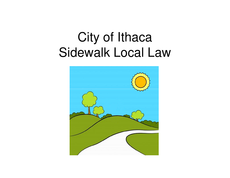## City of IthacaSidewalk Local Law

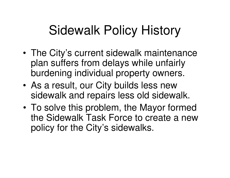# Sidewalk Policy History

- • The City's current sidewalk maintenance plan suffers from delays while unfairly burdening individual property owners.
- • As a result, our City builds less new sidewalk and repairs less old sidewalk.
- • To solve this problem, the Mayor formed the Sidewalk Task Force to create a new policy for the City's sidewalks.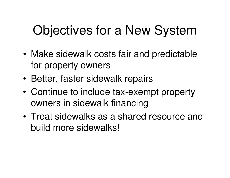# Objectives for a New System

- • Make sidewalk costs fair and predictable for property owners
- •Better, faster sidewalk repairs
- • Continue to include tax-exempt property owners in sidewalk financing
- • Treat sidewalks as a shared resource and build more sidewalks!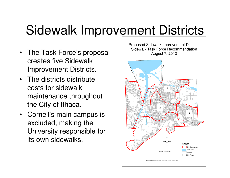## Sidewalk Improvement Districts

- The Task Force's proposal creates five Sidewalk Improvement Districts.
- The districts distribute costs for sidewalk maintenance throughout the City of Ithaca.
- Cornell's main campus is excluded, making the University responsible for its own sidewalks.

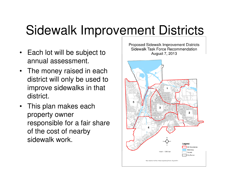## Sidewalk Improvement Districts

- Each lot will be subject to annual assessment.
- The money raised in each district will only be used to improve sidewalks in that district.
- This plan makes each property owner responsible for a fair share of the cost of nearby sidewalk work.

Proposed Sidewalk Improvement Districts Sidewalk Task Force Recommendation August 7, 2013 Legend SID Boundaries Waterway  $1$  inch =  $1.500$  feet Parcels City Border Map created by the City of Ithaca Engineering Division, August 2013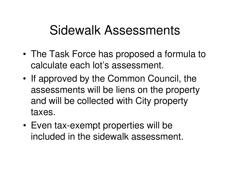#### Sidewalk Assessments

- • The Task Force has proposed a formula to calculate each lot's assessment.
- • If approved by the Common Council, the assessments will be liens on the property and will be collected with City property taxes.
- • Even tax-exempt properties will be included in the sidewalk assessment.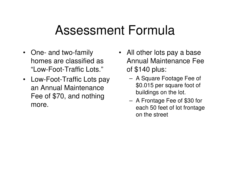#### Assessment Formula

- One- and two-family homes are classified as "Low-Foot-Traffic Lots."
- Low-Foot-Traffic Lots pay an Annual Maintenance Fee of \$70, and nothing more.
- All other lots pay a base Annual Maintenance Fee of \$140 plus:
	- – A Square Footage Fee of \$0.015 per square foot of buildings on the lot.
	- – A Frontage Fee of \$30 for each 50 feet of lot frontage on the street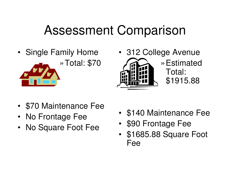# Assessment Comparison

- Single Family Home»Total: \$70
- 312 College Avenue »Estimated Total: \$1915.88
- •\$70 Maintenance Fee
- No Frontage Fee
- No Square Foot Fee•
- •\$140 Maintenance Fee
- •\$90 Frontage Fee
- • \$1685.88 Square Foot Fee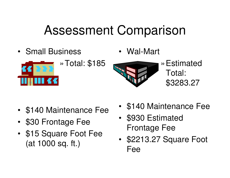## Assessment Comparison

• Small Business



»Total: \$185

•Wal-Mart



»Estimated Total: \$3283.27

- •\$140 Maintenance Fee
- •\$30 Frontage Fee
- •\$15 Square Foot Fee (at 1000 sq. ft.)
- •\$140 Maintenance Fee
- • \$930 Estimated Frontage Fee
- • \$2213.27 Square Foot Fee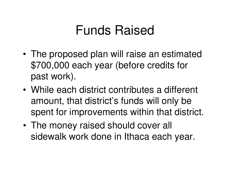#### Funds Raised

- • The proposed plan will raise an estimated \$700,000 each year (before credits for past work).
- • While each district contributes a different amount, that district's funds will only be spent for improvements within that district.
- • The money raised should cover all sidewalk work done in Ithaca each year.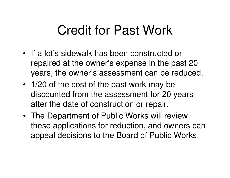### Credit for Past Work

- If a lot's sidewalk has been constructed or repaired at the owner's expense in the past 20 years, the owner's assessment can be reduced.
- 1/20 of the cost of the past work may be discounted from the assessment for 20 years after the date of construction or repair.
- The Department of Public Works will review these applications for reduction, and owners can appeal decisions to the Board of Public Works.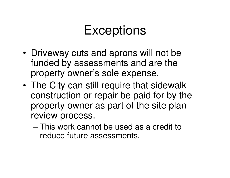### **Exceptions**

- • Driveway cuts and aprons will not be funded by assessments and are the property owner's sole expense.
- • The City can still require that sidewalk construction or repair be paid for by the property owner as part of the site plan review process.
	- – This work cannot be used as a credit to reduce future assessments.